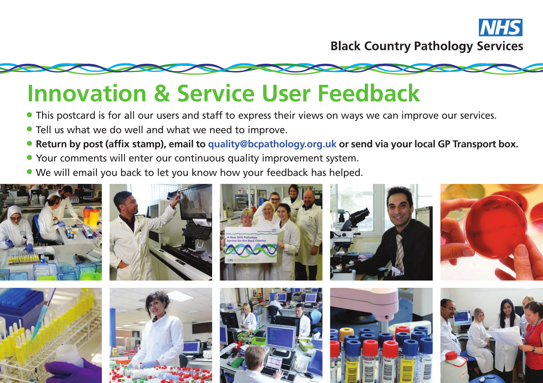



- This postcard is for all our users and staff to express their views on ways we can improve our services.
- Tell us what we do well and what we need to improve.
- **Return by post (affix stamp), email to quality@bcpathology.org.uk or send via your local GP Transport box.**
- Your comments will enter our continuous quality improvement system.
- We will email you back to let you know how your feedback has helped.